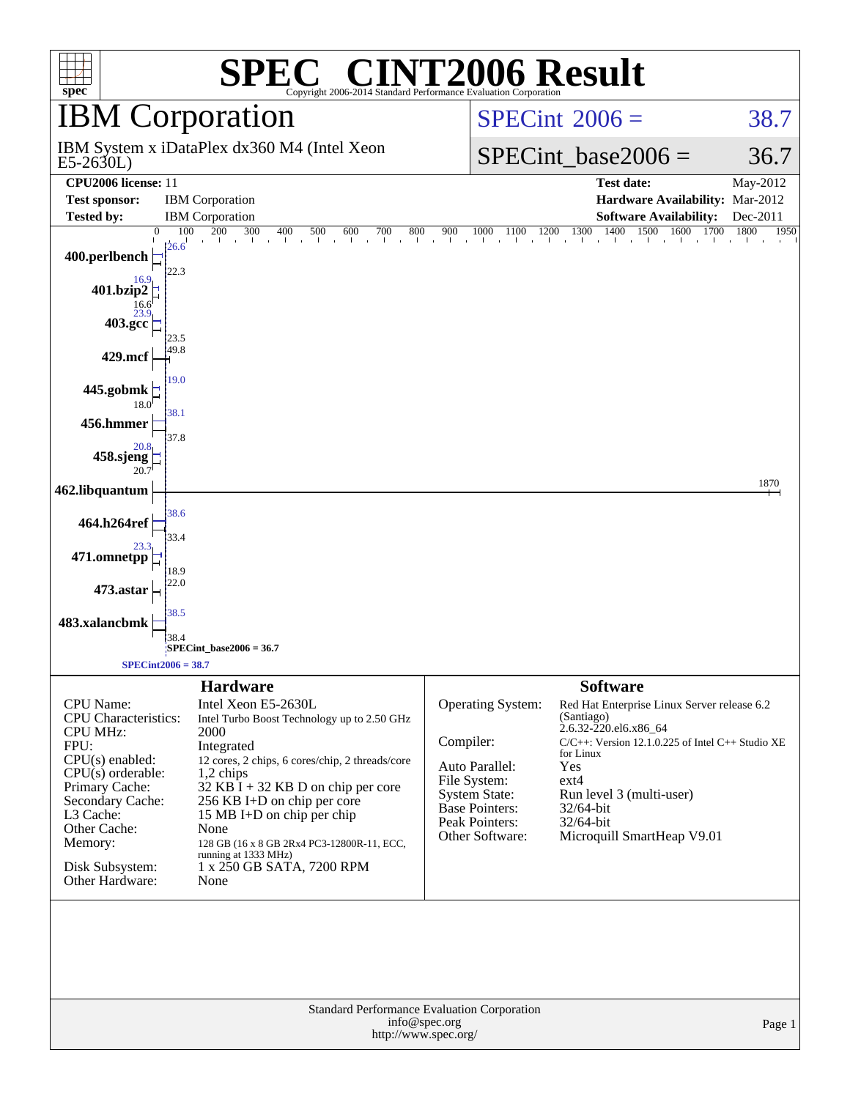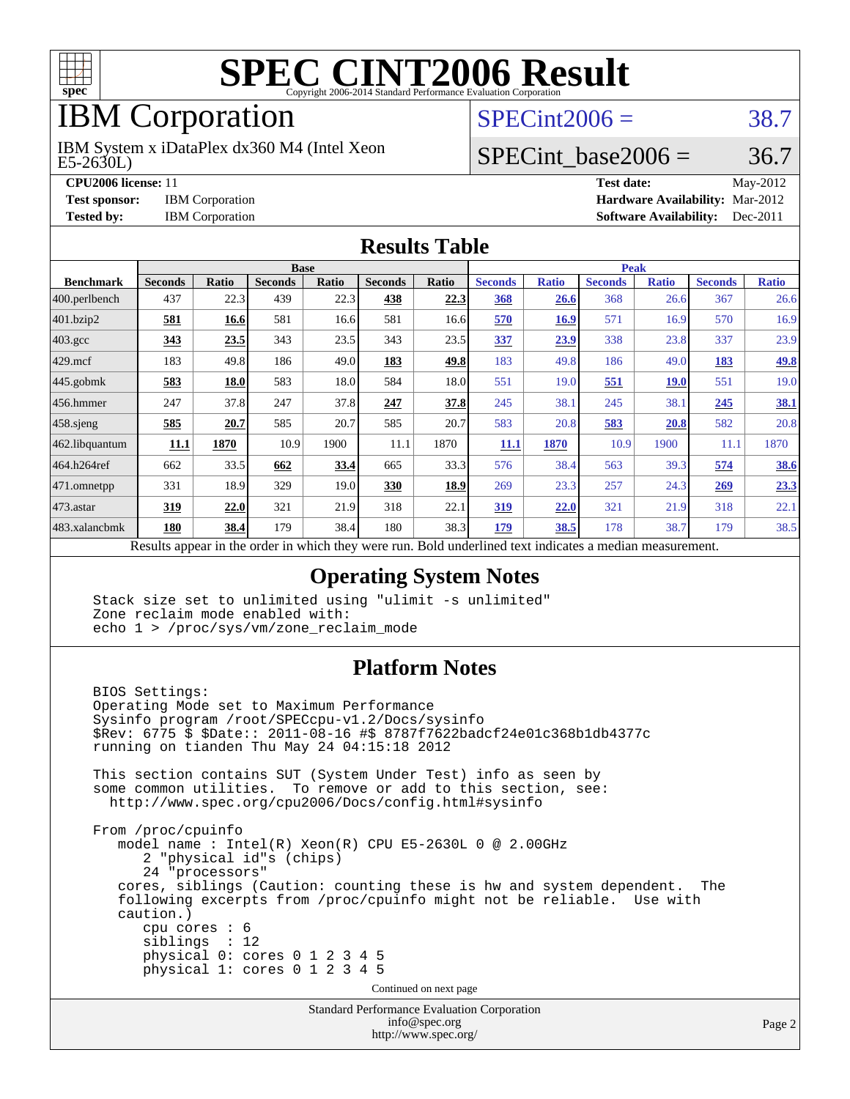

# IBM Corporation

E5-2630L) IBM System x iDataPlex dx360 M4 (Intel Xeon

**[CPU2006 license:](http://www.spec.org/auto/cpu2006/Docs/result-fields.html#CPU2006license)** 11

**[Test sponsor:](http://www.spec.org/auto/cpu2006/Docs/result-fields.html#Testsponsor) IBM Corporation** 

**[Tested by:](http://www.spec.org/auto/cpu2006/Docs/result-fields.html#Testedby) IBM Corporation** 

 $SPECint2006 = 38.7$  $SPECint2006 = 38.7$ 

#### SPECint base2006 =  $36.7$

| Test date:                             | May-2012 |
|----------------------------------------|----------|
| <b>Hardware Availability: Mar-2012</b> |          |
| <b>Software Availability:</b> Dec-2011 |          |

#### **[Results Table](http://www.spec.org/auto/cpu2006/Docs/result-fields.html#ResultsTable)**

|                    | <b>Base</b>    |       |                |       |                |                           | <b>Peak</b>    |              |                |              |                |              |
|--------------------|----------------|-------|----------------|-------|----------------|---------------------------|----------------|--------------|----------------|--------------|----------------|--------------|
| <b>Benchmark</b>   | <b>Seconds</b> | Ratio | <b>Seconds</b> | Ratio | <b>Seconds</b> | Ratio                     | <b>Seconds</b> | <b>Ratio</b> | <b>Seconds</b> | <b>Ratio</b> | <b>Seconds</b> | <b>Ratio</b> |
| 400.perlbench      | 437            | 22.3  | 439            | 22.3  | 438            | 22.3                      | 368            | 26.6         | 368            | 26.6         | 367            | 26.6         |
| 401.bzip2          | 581            | 16.6  | 581            | 16.6  | 581            | 16.6                      | 570            | 16.9         | 571            | 16.9         | 570            | 16.9         |
| $403.\mathrm{gcc}$ | 343            | 23.5  | 343            | 23.5  | 343            | 23.5                      | 337            | 23.9         | 338            | 23.8         | 337            | 23.9         |
| $429$ .mcf         | 183            | 49.8  | 186            | 49.0  | 183            | 49.8                      | 183            | 49.8         | 186            | 49.0         | 183            | <u>49.8</u>  |
| $445$ .gobmk       | 583            | 18.0  | 583            | 18.0  | 584            | 18.0                      | 551            | 19.0         | 551            | <b>19.0</b>  | 551            | 19.0         |
| $456.$ hmmer       | 247            | 37.8  | 247            | 37.8  | 247            | 37.8                      | 245            | 38.1         | 245            | 38.1         | 245            | <b>38.1</b>  |
| $458$ .sjeng       | 585            | 20.7  | 585            | 20.7  | 585            | 20.7                      | 583            | 20.8         | 583            | 20.8         | 582            | 20.8         |
| 462.libquantum     | 11.1           | 1870  | 10.9           | 1900  | 11.1           | 1870                      | 11.1           | 1870         | 10.9           | 1900         | 11.1           | 1870         |
| 464.h264ref        | 662            | 33.5  | 662            | 33.4  | 665            | 33.3                      | 576            | 38.4         | 563            | 39.3         | 574            | <b>38.6</b>  |
| 471.omnetpp        | 331            | 18.9  | 329            | 19.0  | 330            | 18.9                      | 269            | 23.3         | 257            | 24.3         | 269            | 23.3         |
| $473$ . astar      | 319            | 22.0  | 321            | 21.9  | 318            | 22.1                      | 319            | 22.0         | 321            | 21.9         | 318            | 22.1         |
| 483.xalancbmk      | 180            | 38.4  | 179            | 38.4  | 180            | 38.3                      | 179            | 38.5         | 178            | 38.7         | 179            | 38.5         |
| $\mathbf{r}$       | $\mathbf{1}$ . |       |                | 1.1.1 |                | $\mathbf{r}$ $\mathbf{r}$ | $\mathbf{1}$   |              | $\cdot$        |              |                |              |

Results appear in the [order in which they were run.](http://www.spec.org/auto/cpu2006/Docs/result-fields.html#RunOrder) Bold underlined text [indicates a median measurement.](http://www.spec.org/auto/cpu2006/Docs/result-fields.html#Median)

#### **[Operating System Notes](http://www.spec.org/auto/cpu2006/Docs/result-fields.html#OperatingSystemNotes)**

 Stack size set to unlimited using "ulimit -s unlimited" Zone reclaim mode enabled with: echo 1 > /proc/sys/vm/zone\_reclaim\_mode

#### **[Platform Notes](http://www.spec.org/auto/cpu2006/Docs/result-fields.html#PlatformNotes)**

 BIOS Settings: Operating Mode set to Maximum Performance Sysinfo program /root/SPECcpu-v1.2/Docs/sysinfo \$Rev: 6775 \$ \$Date:: 2011-08-16 #\$ 8787f7622badcf24e01c368b1db4377c running on tianden Thu May 24 04:15:18 2012 This section contains SUT (System Under Test) info as seen by some common utilities. To remove or add to this section, see: <http://www.spec.org/cpu2006/Docs/config.html#sysinfo> From /proc/cpuinfo model name : Intel(R) Xeon(R) CPU E5-2630L 0 @ 2.00GHz 2 "physical id"s (chips) 24 "processors" cores, siblings (Caution: counting these is hw and system dependent. The following excerpts from /proc/cpuinfo might not be reliable. Use with caution.) cpu cores : 6 siblings : 12 physical 0: cores 0 1 2 3 4 5 physical 1: cores 0 1 2 3 4 5 Continued on next page

Standard Performance Evaluation Corporation [info@spec.org](mailto:info@spec.org) <http://www.spec.org/>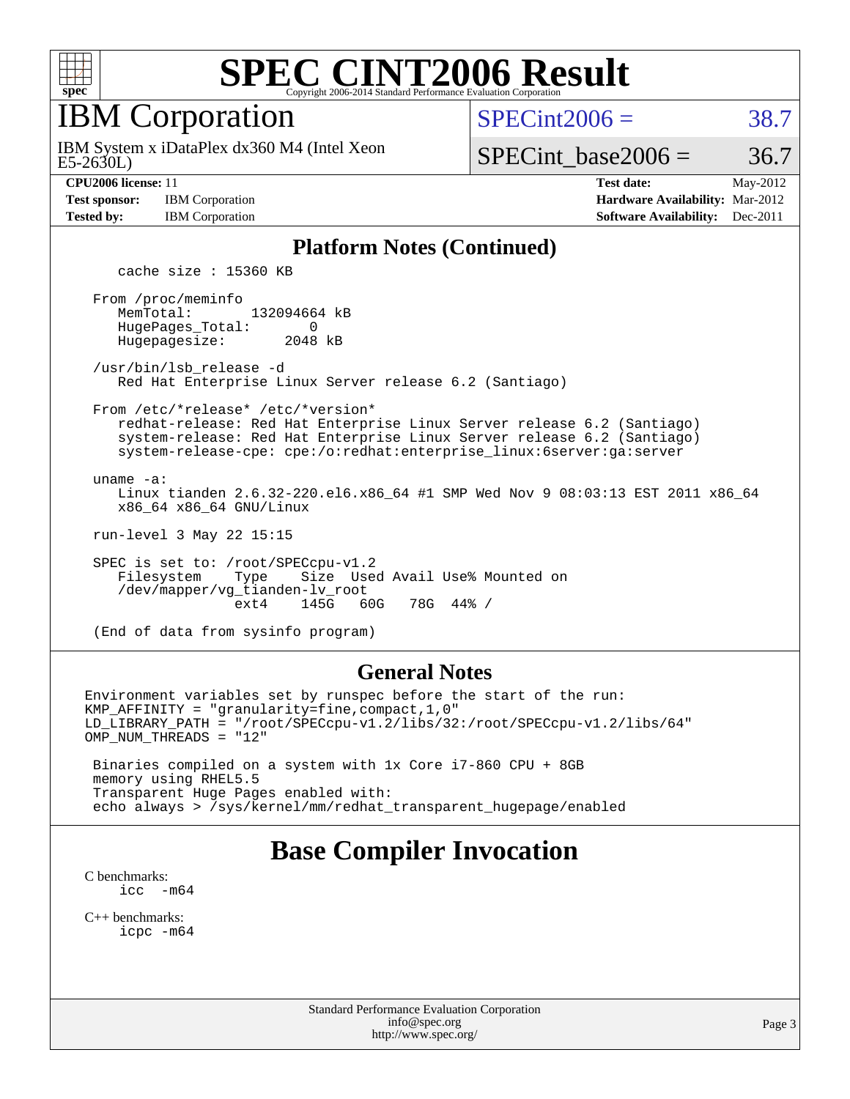

IBM Corporation

 $SPECint2006 = 38.7$  $SPECint2006 = 38.7$ 

E5-2630L) IBM System x iDataPlex dx360 M4 (Intel Xeon

SPECint base2006 =  $36.7$ 

| <b>Fest sponsor:</b> | <b>IBM</b> Corporation |
|----------------------|------------------------|
| <b>Tested by:</b>    | <b>IBM</b> Corporation |

**[CPU2006 license:](http://www.spec.org/auto/cpu2006/Docs/result-fields.html#CPU2006license)** 11 **[Test date:](http://www.spec.org/auto/cpu2006/Docs/result-fields.html#Testdate)** May-2012 **[Hardware Availability:](http://www.spec.org/auto/cpu2006/Docs/result-fields.html#HardwareAvailability)** Mar-2012 **[Software Availability:](http://www.spec.org/auto/cpu2006/Docs/result-fields.html#SoftwareAvailability)** Dec-2011

#### **[Platform Notes \(Continued\)](http://www.spec.org/auto/cpu2006/Docs/result-fields.html#PlatformNotes)**

cache size : 15360 KB

 From /proc/meminfo MemTotal: 132094664 kB HugePages\_Total: 0<br>Hugepagesize: 2048 kB Hugepagesize:

 /usr/bin/lsb\_release -d Red Hat Enterprise Linux Server release 6.2 (Santiago)

 From /etc/\*release\* /etc/\*version\* redhat-release: Red Hat Enterprise Linux Server release 6.2 (Santiago) system-release: Red Hat Enterprise Linux Server release 6.2 (Santiago) system-release-cpe: cpe:/o:redhat:enterprise\_linux:6server:ga:server

uname -a:

 Linux tianden 2.6.32-220.el6.x86\_64 #1 SMP Wed Nov 9 08:03:13 EST 2011 x86\_64 x86\_64 x86\_64 GNU/Linux

run-level 3 May 22 15:15

 SPEC is set to: /root/SPECcpu-v1.2 Filesystem Type Size Used Avail Use% Mounted on /dev/mapper/vg\_tianden-lv\_root ext4 145G 60G 78G 44% /

(End of data from sysinfo program)

#### **[General Notes](http://www.spec.org/auto/cpu2006/Docs/result-fields.html#GeneralNotes)**

Environment variables set by runspec before the start of the run: KMP\_AFFINITY = "granularity=fine,compact,1,0" LD\_LIBRARY\_PATH = "/root/SPECcpu-v1.2/libs/32:/root/SPECcpu-v1.2/libs/64" OMP\_NUM\_THREADS = "12"

 Binaries compiled on a system with 1x Core i7-860 CPU + 8GB memory using RHEL5.5 Transparent Huge Pages enabled with: echo always > /sys/kernel/mm/redhat\_transparent\_hugepage/enabled

#### **[Base Compiler Invocation](http://www.spec.org/auto/cpu2006/Docs/result-fields.html#BaseCompilerInvocation)**

[C benchmarks](http://www.spec.org/auto/cpu2006/Docs/result-fields.html#Cbenchmarks):<br> $\frac{icc}{c}$  $-m64$ 

[C++ benchmarks:](http://www.spec.org/auto/cpu2006/Docs/result-fields.html#CXXbenchmarks) [icpc -m64](http://www.spec.org/cpu2006/results/res2012q3/cpu2006-20120628-23207.flags.html#user_CXXbase_intel_icpc_64bit_fc66a5337ce925472a5c54ad6a0de310)

> Standard Performance Evaluation Corporation [info@spec.org](mailto:info@spec.org) <http://www.spec.org/>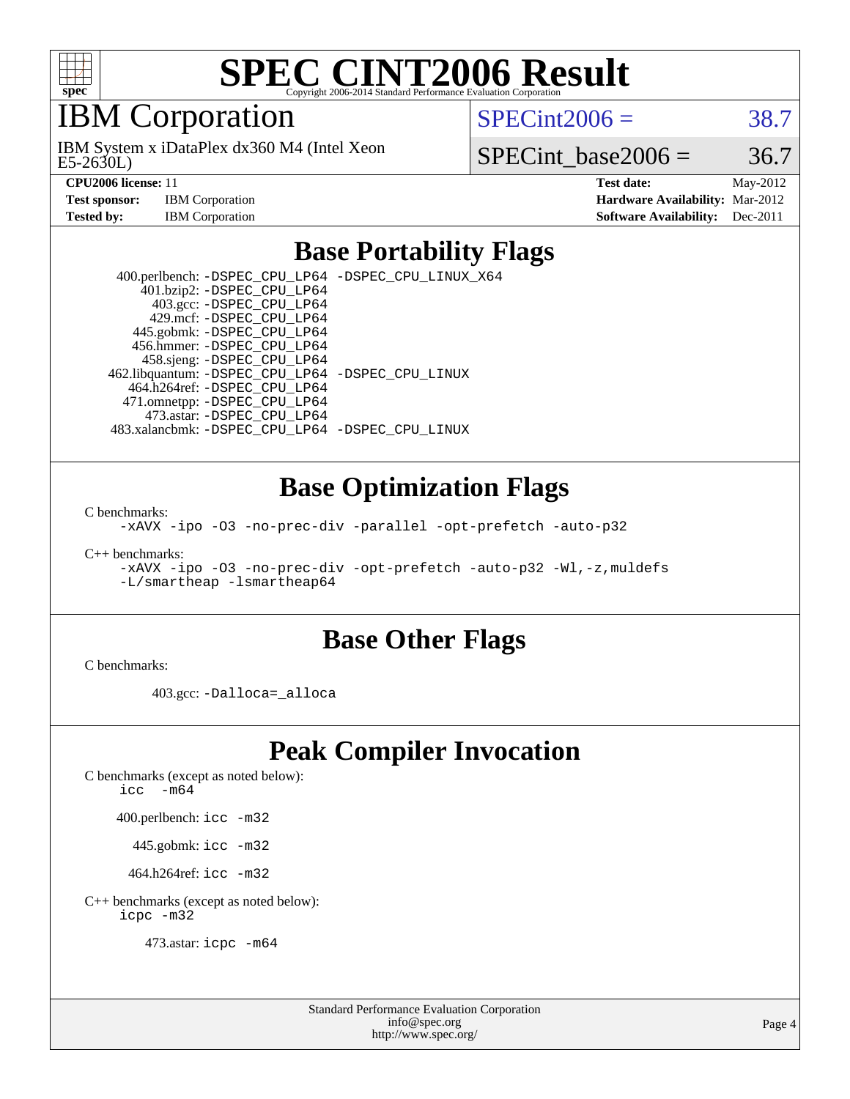

### IBM Corporation

E5-2630L) IBM System x iDataPlex dx360 M4 (Intel Xeon  $SPECint2006 = 38.7$  $SPECint2006 = 38.7$ 

SPECint base2006 =  $36.7$ 

**[CPU2006 license:](http://www.spec.org/auto/cpu2006/Docs/result-fields.html#CPU2006license)** 11 **[Test date:](http://www.spec.org/auto/cpu2006/Docs/result-fields.html#Testdate)** May-2012 **[Test sponsor:](http://www.spec.org/auto/cpu2006/Docs/result-fields.html#Testsponsor)** IBM Corporation **[Hardware Availability:](http://www.spec.org/auto/cpu2006/Docs/result-fields.html#HardwareAvailability)** Mar-2012 **[Tested by:](http://www.spec.org/auto/cpu2006/Docs/result-fields.html#Testedby)** IBM Corporation **[Software Availability:](http://www.spec.org/auto/cpu2006/Docs/result-fields.html#SoftwareAvailability)** Dec-2011

#### **[Base Portability Flags](http://www.spec.org/auto/cpu2006/Docs/result-fields.html#BasePortabilityFlags)**

 400.perlbench: [-DSPEC\\_CPU\\_LP64](http://www.spec.org/cpu2006/results/res2012q3/cpu2006-20120628-23207.flags.html#b400.perlbench_basePORTABILITY_DSPEC_CPU_LP64) [-DSPEC\\_CPU\\_LINUX\\_X64](http://www.spec.org/cpu2006/results/res2012q3/cpu2006-20120628-23207.flags.html#b400.perlbench_baseCPORTABILITY_DSPEC_CPU_LINUX_X64) 401.bzip2: [-DSPEC\\_CPU\\_LP64](http://www.spec.org/cpu2006/results/res2012q3/cpu2006-20120628-23207.flags.html#suite_basePORTABILITY401_bzip2_DSPEC_CPU_LP64) 403.gcc: [-DSPEC\\_CPU\\_LP64](http://www.spec.org/cpu2006/results/res2012q3/cpu2006-20120628-23207.flags.html#suite_basePORTABILITY403_gcc_DSPEC_CPU_LP64) 429.mcf: [-DSPEC\\_CPU\\_LP64](http://www.spec.org/cpu2006/results/res2012q3/cpu2006-20120628-23207.flags.html#suite_basePORTABILITY429_mcf_DSPEC_CPU_LP64) 445.gobmk: [-DSPEC\\_CPU\\_LP64](http://www.spec.org/cpu2006/results/res2012q3/cpu2006-20120628-23207.flags.html#suite_basePORTABILITY445_gobmk_DSPEC_CPU_LP64) 456.hmmer: [-DSPEC\\_CPU\\_LP64](http://www.spec.org/cpu2006/results/res2012q3/cpu2006-20120628-23207.flags.html#suite_basePORTABILITY456_hmmer_DSPEC_CPU_LP64) 458.sjeng: [-DSPEC\\_CPU\\_LP64](http://www.spec.org/cpu2006/results/res2012q3/cpu2006-20120628-23207.flags.html#suite_basePORTABILITY458_sjeng_DSPEC_CPU_LP64) 462.libquantum: [-DSPEC\\_CPU\\_LP64](http://www.spec.org/cpu2006/results/res2012q3/cpu2006-20120628-23207.flags.html#suite_basePORTABILITY462_libquantum_DSPEC_CPU_LP64) [-DSPEC\\_CPU\\_LINUX](http://www.spec.org/cpu2006/results/res2012q3/cpu2006-20120628-23207.flags.html#b462.libquantum_baseCPORTABILITY_DSPEC_CPU_LINUX) 464.h264ref: [-DSPEC\\_CPU\\_LP64](http://www.spec.org/cpu2006/results/res2012q3/cpu2006-20120628-23207.flags.html#suite_basePORTABILITY464_h264ref_DSPEC_CPU_LP64) 471.omnetpp: [-DSPEC\\_CPU\\_LP64](http://www.spec.org/cpu2006/results/res2012q3/cpu2006-20120628-23207.flags.html#suite_basePORTABILITY471_omnetpp_DSPEC_CPU_LP64) 473.astar: [-DSPEC\\_CPU\\_LP64](http://www.spec.org/cpu2006/results/res2012q3/cpu2006-20120628-23207.flags.html#suite_basePORTABILITY473_astar_DSPEC_CPU_LP64) 483.xalancbmk: [-DSPEC\\_CPU\\_LP64](http://www.spec.org/cpu2006/results/res2012q3/cpu2006-20120628-23207.flags.html#suite_basePORTABILITY483_xalancbmk_DSPEC_CPU_LP64) [-DSPEC\\_CPU\\_LINUX](http://www.spec.org/cpu2006/results/res2012q3/cpu2006-20120628-23207.flags.html#b483.xalancbmk_baseCXXPORTABILITY_DSPEC_CPU_LINUX)

#### **[Base Optimization Flags](http://www.spec.org/auto/cpu2006/Docs/result-fields.html#BaseOptimizationFlags)**

[C benchmarks](http://www.spec.org/auto/cpu2006/Docs/result-fields.html#Cbenchmarks):

[-xAVX](http://www.spec.org/cpu2006/results/res2012q3/cpu2006-20120628-23207.flags.html#user_CCbase_f-xAVX) [-ipo](http://www.spec.org/cpu2006/results/res2012q3/cpu2006-20120628-23207.flags.html#user_CCbase_f-ipo) [-O3](http://www.spec.org/cpu2006/results/res2012q3/cpu2006-20120628-23207.flags.html#user_CCbase_f-O3) [-no-prec-div](http://www.spec.org/cpu2006/results/res2012q3/cpu2006-20120628-23207.flags.html#user_CCbase_f-no-prec-div) [-parallel](http://www.spec.org/cpu2006/results/res2012q3/cpu2006-20120628-23207.flags.html#user_CCbase_f-parallel) [-opt-prefetch](http://www.spec.org/cpu2006/results/res2012q3/cpu2006-20120628-23207.flags.html#user_CCbase_f-opt-prefetch) [-auto-p32](http://www.spec.org/cpu2006/results/res2012q3/cpu2006-20120628-23207.flags.html#user_CCbase_f-auto-p32)

[C++ benchmarks:](http://www.spec.org/auto/cpu2006/Docs/result-fields.html#CXXbenchmarks)

[-xAVX](http://www.spec.org/cpu2006/results/res2012q3/cpu2006-20120628-23207.flags.html#user_CXXbase_f-xAVX) [-ipo](http://www.spec.org/cpu2006/results/res2012q3/cpu2006-20120628-23207.flags.html#user_CXXbase_f-ipo) [-O3](http://www.spec.org/cpu2006/results/res2012q3/cpu2006-20120628-23207.flags.html#user_CXXbase_f-O3) [-no-prec-div](http://www.spec.org/cpu2006/results/res2012q3/cpu2006-20120628-23207.flags.html#user_CXXbase_f-no-prec-div) [-opt-prefetch](http://www.spec.org/cpu2006/results/res2012q3/cpu2006-20120628-23207.flags.html#user_CXXbase_f-opt-prefetch) [-auto-p32](http://www.spec.org/cpu2006/results/res2012q3/cpu2006-20120628-23207.flags.html#user_CXXbase_f-auto-p32) [-Wl,-z,muldefs](http://www.spec.org/cpu2006/results/res2012q3/cpu2006-20120628-23207.flags.html#user_CXXbase_link_force_multiple1_74079c344b956b9658436fd1b6dd3a8a) [-L/smartheap -lsmartheap64](http://www.spec.org/cpu2006/results/res2012q3/cpu2006-20120628-23207.flags.html#user_CXXbase_SmartHeap64_5e654037dadeae1fe403ab4b4466e60b)

#### **[Base Other Flags](http://www.spec.org/auto/cpu2006/Docs/result-fields.html#BaseOtherFlags)**

[C benchmarks](http://www.spec.org/auto/cpu2006/Docs/result-fields.html#Cbenchmarks):

403.gcc: [-Dalloca=\\_alloca](http://www.spec.org/cpu2006/results/res2012q3/cpu2006-20120628-23207.flags.html#b403.gcc_baseEXTRA_CFLAGS_Dalloca_be3056838c12de2578596ca5467af7f3)

### **[Peak Compiler Invocation](http://www.spec.org/auto/cpu2006/Docs/result-fields.html#PeakCompilerInvocation)**

[C benchmarks \(except as noted below\)](http://www.spec.org/auto/cpu2006/Docs/result-fields.html#Cbenchmarksexceptasnotedbelow):

icc  $-m64$ 

400.perlbench: [icc -m32](http://www.spec.org/cpu2006/results/res2012q3/cpu2006-20120628-23207.flags.html#user_peakCCLD400_perlbench_intel_icc_a6a621f8d50482236b970c6ac5f55f93)

445.gobmk: [icc -m32](http://www.spec.org/cpu2006/results/res2012q3/cpu2006-20120628-23207.flags.html#user_peakCCLD445_gobmk_intel_icc_a6a621f8d50482236b970c6ac5f55f93)

464.h264ref: [icc -m32](http://www.spec.org/cpu2006/results/res2012q3/cpu2006-20120628-23207.flags.html#user_peakCCLD464_h264ref_intel_icc_a6a621f8d50482236b970c6ac5f55f93)

[C++ benchmarks \(except as noted below\):](http://www.spec.org/auto/cpu2006/Docs/result-fields.html#CXXbenchmarksexceptasnotedbelow) [icpc -m32](http://www.spec.org/cpu2006/results/res2012q3/cpu2006-20120628-23207.flags.html#user_CXXpeak_intel_icpc_4e5a5ef1a53fd332b3c49e69c3330699)

473.astar: [icpc -m64](http://www.spec.org/cpu2006/results/res2012q3/cpu2006-20120628-23207.flags.html#user_peakCXXLD473_astar_intel_icpc_64bit_fc66a5337ce925472a5c54ad6a0de310)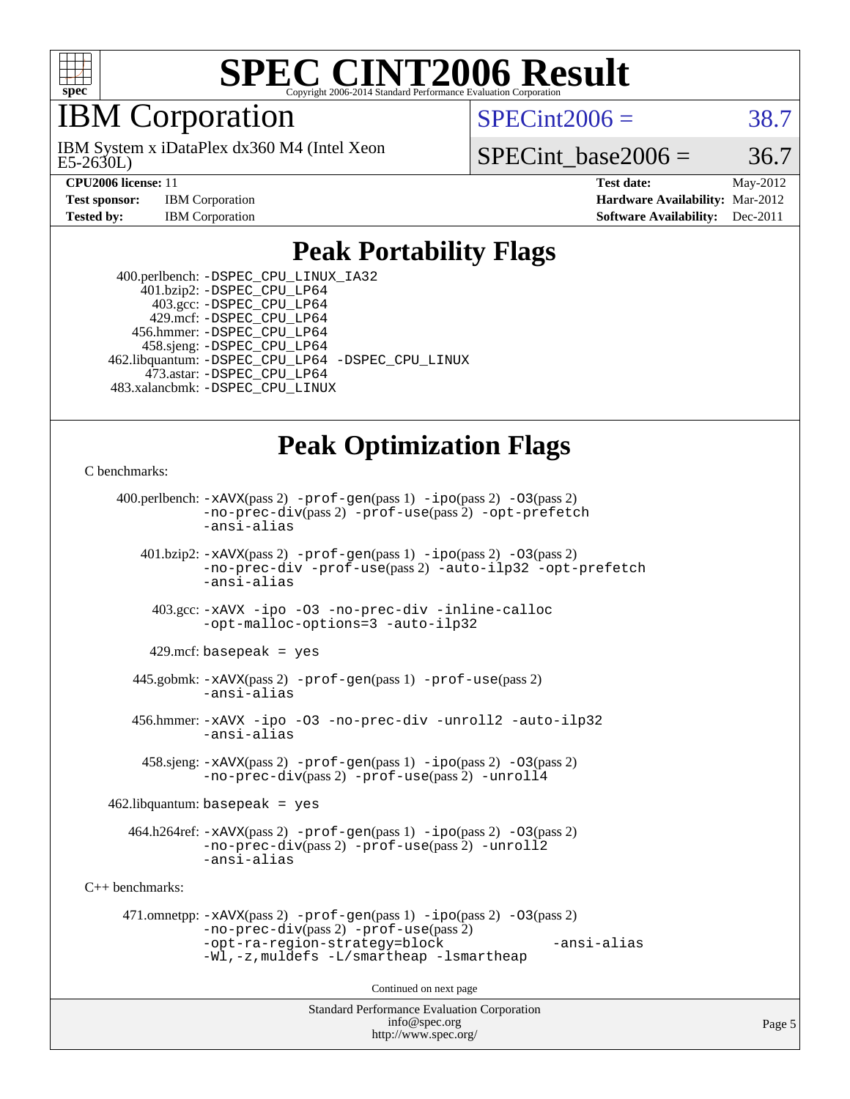

### IBM Corporation

E5-2630L) IBM System x iDataPlex dx360 M4 (Intel Xeon  $SPECint2006 = 38.7$  $SPECint2006 = 38.7$ 

SPECint base2006 =  $36.7$ 

**[CPU2006 license:](http://www.spec.org/auto/cpu2006/Docs/result-fields.html#CPU2006license)** 11 **[Test date:](http://www.spec.org/auto/cpu2006/Docs/result-fields.html#Testdate)** May-2012 **[Test sponsor:](http://www.spec.org/auto/cpu2006/Docs/result-fields.html#Testsponsor)** IBM Corporation **[Hardware Availability:](http://www.spec.org/auto/cpu2006/Docs/result-fields.html#HardwareAvailability)** Mar-2012 **[Tested by:](http://www.spec.org/auto/cpu2006/Docs/result-fields.html#Testedby)** IBM Corporation **[Software Availability:](http://www.spec.org/auto/cpu2006/Docs/result-fields.html#SoftwareAvailability)** Dec-2011

### **[Peak Portability Flags](http://www.spec.org/auto/cpu2006/Docs/result-fields.html#PeakPortabilityFlags)**

 400.perlbench: [-DSPEC\\_CPU\\_LINUX\\_IA32](http://www.spec.org/cpu2006/results/res2012q3/cpu2006-20120628-23207.flags.html#b400.perlbench_peakCPORTABILITY_DSPEC_CPU_LINUX_IA32) 401.bzip2: [-DSPEC\\_CPU\\_LP64](http://www.spec.org/cpu2006/results/res2012q3/cpu2006-20120628-23207.flags.html#suite_peakPORTABILITY401_bzip2_DSPEC_CPU_LP64) 403.gcc: [-DSPEC\\_CPU\\_LP64](http://www.spec.org/cpu2006/results/res2012q3/cpu2006-20120628-23207.flags.html#suite_peakPORTABILITY403_gcc_DSPEC_CPU_LP64) 429.mcf: [-DSPEC\\_CPU\\_LP64](http://www.spec.org/cpu2006/results/res2012q3/cpu2006-20120628-23207.flags.html#suite_peakPORTABILITY429_mcf_DSPEC_CPU_LP64) 456.hmmer: [-DSPEC\\_CPU\\_LP64](http://www.spec.org/cpu2006/results/res2012q3/cpu2006-20120628-23207.flags.html#suite_peakPORTABILITY456_hmmer_DSPEC_CPU_LP64) 458.sjeng: [-DSPEC\\_CPU\\_LP64](http://www.spec.org/cpu2006/results/res2012q3/cpu2006-20120628-23207.flags.html#suite_peakPORTABILITY458_sjeng_DSPEC_CPU_LP64) 462.libquantum: [-DSPEC\\_CPU\\_LP64](http://www.spec.org/cpu2006/results/res2012q3/cpu2006-20120628-23207.flags.html#suite_peakPORTABILITY462_libquantum_DSPEC_CPU_LP64) [-DSPEC\\_CPU\\_LINUX](http://www.spec.org/cpu2006/results/res2012q3/cpu2006-20120628-23207.flags.html#b462.libquantum_peakCPORTABILITY_DSPEC_CPU_LINUX) 473.astar: [-DSPEC\\_CPU\\_LP64](http://www.spec.org/cpu2006/results/res2012q3/cpu2006-20120628-23207.flags.html#suite_peakPORTABILITY473_astar_DSPEC_CPU_LP64) 483.xalancbmk: [-DSPEC\\_CPU\\_LINUX](http://www.spec.org/cpu2006/results/res2012q3/cpu2006-20120628-23207.flags.html#b483.xalancbmk_peakCXXPORTABILITY_DSPEC_CPU_LINUX)

# **[Peak Optimization Flags](http://www.spec.org/auto/cpu2006/Docs/result-fields.html#PeakOptimizationFlags)**

[C benchmarks](http://www.spec.org/auto/cpu2006/Docs/result-fields.html#Cbenchmarks):

```
Standard Performance Evaluation Corporation
                                          info@spec.org
     400.perlbench: -xAVX(pass 2) -prof-gen(pass 1) -ipo(pass 2) -O3(pass 2)
                -no-prec-div(pass 2) -prof-use(pass 2) -opt-prefetch
                -ansi-alias
        401.bzip2: -xAVX(pass 2) -prof-gen(pass 1) -ipo(pass 2) -O3(pass 2)
                -no-prec-div -prof-use(pass 2) -auto-ilp32 -opt-prefetch
                -ansi-alias
          403.gcc: -xAVX -ipo -O3 -no-prec-div -inline-calloc
                -opt-malloc-options=3 -auto-ilp32
         429.mcf: basepeak = yes
       445.gobmk: -xAVX(pass 2) -prof-gen(pass 1) -prof-use(pass 2)
                -ansi-alias
       456.hmmer: -xAVX -ipo -O3 -no-prec-div -unroll2 -auto-ilp32
                -ansi-alias
         458.sjeng: -xAVX(pass 2) -prof-gen(pass 1) -ipo(pass 2) -O3(pass 2)
                -no-prec-div(pass 2) -prof-use(pass 2) -unroll4
    462.libquantum: basepeak = yes
       464.h264ref: -xAVX(pass 2) -prof-gen(pass 1) -ipo(pass 2) -O3(pass 2)
                -no-prec-div(pass 2) -prof-use(pass 2) -unroll2
                -ansi-alias
C++ benchmarks: 
      471.omnetpp: -xAVX(pass 2) -prof-gen(pass 1) -ipo(pass 2) -O3(pass 2)
                -no-prec-div(pass 2) -prof-use(pass 2)
                -opt-ra-region-strategy=block -ansi-alias
                -Wl,-z,muldefs -L/smartheap -lsmartheap
                                        Continued on next page
```
<http://www.spec.org/>